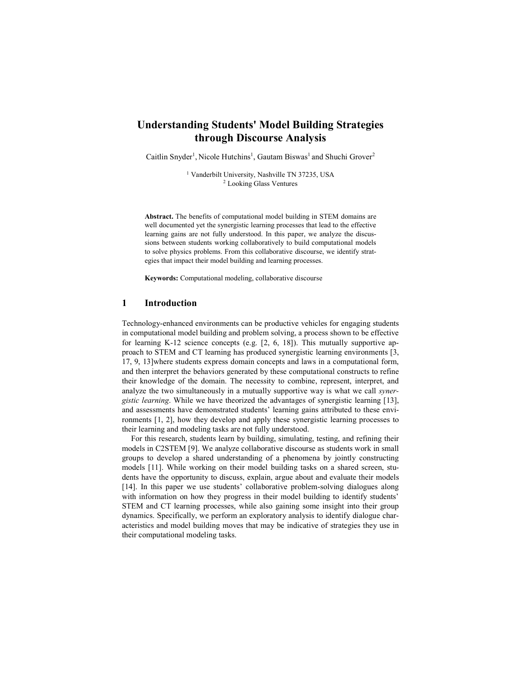# Understanding Students' Model Building Strategies through Discourse Analysis

Caitlin Snyder<sup>1</sup>, Nicole Hutchins<sup>1</sup>, Gautam Biswas<sup>1</sup> and Shuchi Grover<sup>2</sup>

<sup>1</sup> Vanderbilt University, Nashville TN 37235, USA 2 Looking Glass Ventures

Abstract. The benefits of computational model building in STEM domains are well documented yet the synergistic learning processes that lead to the effective learning gains are not fully understood. In this paper, we analyze the discussions between students working collaboratively to build computational models to solve physics problems. From this collaborative discourse, we identify strategies that impact their model building and learning processes.

Keywords: Computational modeling, collaborative discourse

## 1 Introduction

Technology-enhanced environments can be productive vehicles for engaging students in computational model building and problem solving, a process shown to be effective for learning K-12 science concepts (e.g. [2, 6, 18]). This mutually supportive approach to STEM and CT learning has produced synergistic learning environments [3, 17, 9, 13]where students express domain concepts and laws in a computational form, and then interpret the behaviors generated by these computational constructs to refine their knowledge of the domain. The necessity to combine, represent, interpret, and analyze the two simultaneously in a mutually supportive way is what we call synergistic learning. While we have theorized the advantages of synergistic learning [13], and assessments have demonstrated students' learning gains attributed to these environments [1, 2], how they develop and apply these synergistic learning processes to their learning and modeling tasks are not fully understood.

For this research, students learn by building, simulating, testing, and refining their models in C2STEM [9]. We analyze collaborative discourse as students work in small groups to develop a shared understanding of a phenomena by jointly constructing models [11]. While working on their model building tasks on a shared screen, students have the opportunity to discuss, explain, argue about and evaluate their models [14]. In this paper we use students' collaborative problem-solving dialogues along with information on how they progress in their model building to identify students' STEM and CT learning processes, while also gaining some insight into their group dynamics. Specifically, we perform an exploratory analysis to identify dialogue characteristics and model building moves that may be indicative of strategies they use in their computational modeling tasks.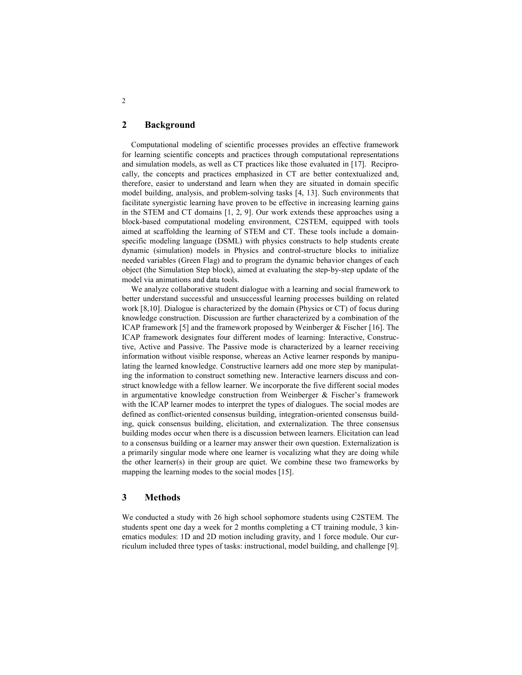## 2 Background

Computational modeling of scientific processes provides an effective framework for learning scientific concepts and practices through computational representations and simulation models, as well as CT practices like those evaluated in [17]. Reciprocally, the concepts and practices emphasized in CT are better contextualized and, therefore, easier to understand and learn when they are situated in domain specific model building, analysis, and problem-solving tasks [4, 13]. Such environments that facilitate synergistic learning have proven to be effective in increasing learning gains in the STEM and CT domains [1, 2, 9]. Our work extends these approaches using a block-based computational modeling environment, C2STEM, equipped with tools aimed at scaffolding the learning of STEM and CT. These tools include a domainspecific modeling language (DSML) with physics constructs to help students create dynamic (simulation) models in Physics and control-structure blocks to initialize needed variables (Green Flag) and to program the dynamic behavior changes of each object (the Simulation Step block), aimed at evaluating the step-by-step update of the model via animations and data tools.

 We analyze collaborative student dialogue with a learning and social framework to better understand successful and unsuccessful learning processes building on related work [8,10]. Dialogue is characterized by the domain (Physics or CT) of focus during knowledge construction. Discussion are further characterized by a combination of the ICAP framework [5] and the framework proposed by Weinberger & Fischer [16]. The ICAP framework designates four different modes of learning: Interactive, Constructive, Active and Passive. The Passive mode is characterized by a learner receiving information without visible response, whereas an Active learner responds by manipulating the learned knowledge. Constructive learners add one more step by manipulating the information to construct something new. Interactive learners discuss and construct knowledge with a fellow learner. We incorporate the five different social modes in argumentative knowledge construction from Weinberger & Fischer's framework with the ICAP learner modes to interpret the types of dialogues. The social modes are defined as conflict-oriented consensus building, integration-oriented consensus building, quick consensus building, elicitation, and externalization. The three consensus building modes occur when there is a discussion between learners. Elicitation can lead to a consensus building or a learner may answer their own question. Externalization is a primarily singular mode where one learner is vocalizing what they are doing while the other learner(s) in their group are quiet. We combine these two frameworks by mapping the learning modes to the social modes [15].

#### 3 Methods

We conducted a study with 26 high school sophomore students using C2STEM. The students spent one day a week for 2 months completing a CT training module, 3 kinematics modules: 1D and 2D motion including gravity, and 1 force module. Our curriculum included three types of tasks: instructional, model building, and challenge [9].

2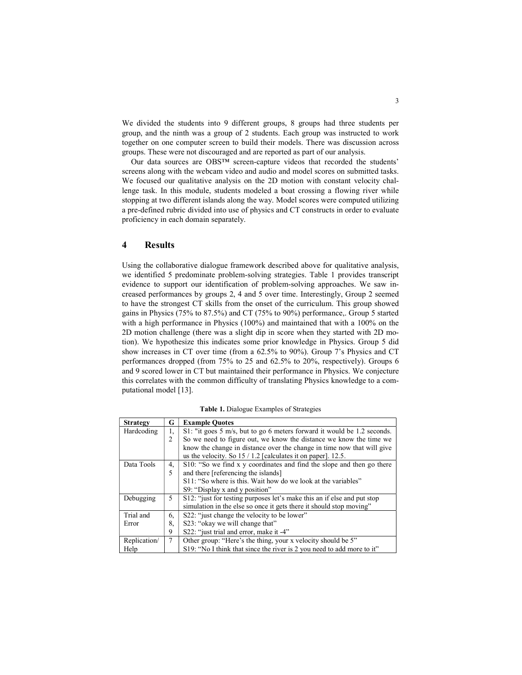We divided the students into 9 different groups, 8 groups had three students per group, and the ninth was a group of 2 students. Each group was instructed to work together on one computer screen to build their models. There was discussion across groups. These were not discouraged and are reported as part of our analysis.

Our data sources are OBS™ screen-capture videos that recorded the students' screens along with the webcam video and audio and model scores on submitted tasks. We focused our qualitative analysis on the 2D motion with constant velocity challenge task. In this module, students modeled a boat crossing a flowing river while stopping at two different islands along the way. Model scores were computed utilizing a pre-defined rubric divided into use of physics and CT constructs in order to evaluate proficiency in each domain separately.

#### 4 Results

Using the collaborative dialogue framework described above for qualitative analysis, we identified 5 predominate problem-solving strategies. Table 1 provides transcript evidence to support our identification of problem-solving approaches. We saw increased performances by groups 2, 4 and 5 over time. Interestingly, Group 2 seemed to have the strongest CT skills from the onset of the curriculum. This group showed gains in Physics (75% to 87.5%) and CT (75% to 90%) performance,. Group 5 started with a high performance in Physics (100%) and maintained that with a 100% on the 2D motion challenge (there was a slight dip in score when they started with 2D motion). We hypothesize this indicates some prior knowledge in Physics. Group 5 did show increases in CT over time (from a 62.5% to 90%). Group 7's Physics and CT performances dropped (from 75% to 25 and 62.5% to 20%, respectively). Groups 6 and 9 scored lower in CT but maintained their performance in Physics. We conjecture this correlates with the common difficulty of translating Physics knowledge to a computational model [13].

| <b>Strategy</b> | G  | <b>Example Ouotes</b>                                                   |
|-----------------|----|-------------------------------------------------------------------------|
| Hardcoding      | 1, | S1: "it goes 5 m/s, but to go 6 meters forward it would be 1.2 seconds. |
|                 | 2  | So we need to figure out, we know the distance we know the time we      |
|                 |    | know the change in distance over the change in time now that will give  |
|                 |    | us the velocity. So $15/1.2$ [calculates it on paper]. 12.5.            |
| Data Tools      | 4, | S10: "So we find x y coordinates and find the slope and then go there   |
|                 | 5  | and there [referencing the islands]                                     |
|                 |    | S11: "So where is this. Wait how do we look at the variables"           |
|                 |    | S9: "Display x and y position"                                          |
| Debugging       | 5  | S12: "just for testing purposes let's make this an if else and put stop |
|                 |    | simulation in the else so once it gets there it should stop moving"     |
| Trial and       | 6, | S22: "just change the velocity to be lower"                             |
| Error           | 8. | S23: "okay we will change that"                                         |
|                 | 9  | S22: "just trial and error, make it -4"                                 |
| Replication/    | 7  | Other group: "Here's the thing, your x velocity should be 5"            |
| Help            |    | S19: "No I think that since the river is 2 you need to add more to it"  |

Table 1. Dialogue Examples of Strategies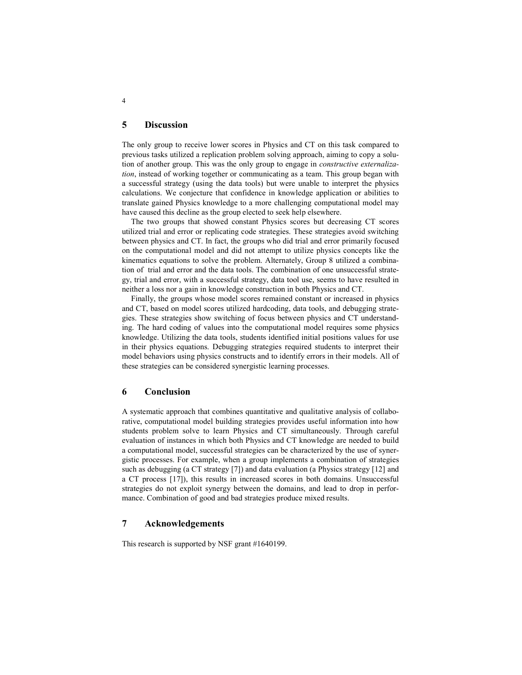### 5 Discussion

The only group to receive lower scores in Physics and CT on this task compared to previous tasks utilized a replication problem solving approach, aiming to copy a solution of another group. This was the only group to engage in constructive externalization, instead of working together or communicating as a team. This group began with a successful strategy (using the data tools) but were unable to interpret the physics calculations. We conjecture that confidence in knowledge application or abilities to translate gained Physics knowledge to a more challenging computational model may have caused this decline as the group elected to seek help elsewhere.

 The two groups that showed constant Physics scores but decreasing CT scores utilized trial and error or replicating code strategies. These strategies avoid switching between physics and CT. In fact, the groups who did trial and error primarily focused on the computational model and did not attempt to utilize physics concepts like the kinematics equations to solve the problem. Alternately, Group 8 utilized a combination of trial and error and the data tools. The combination of one unsuccessful strategy, trial and error, with a successful strategy, data tool use, seems to have resulted in neither a loss nor a gain in knowledge construction in both Physics and CT.

 Finally, the groups whose model scores remained constant or increased in physics and CT, based on model scores utilized hardcoding, data tools, and debugging strategies. These strategies show switching of focus between physics and CT understanding. The hard coding of values into the computational model requires some physics knowledge. Utilizing the data tools, students identified initial positions values for use in their physics equations. Debugging strategies required students to interpret their model behaviors using physics constructs and to identify errors in their models. All of these strategies can be considered synergistic learning processes.

## 6 Conclusion

A systematic approach that combines quantitative and qualitative analysis of collaborative, computational model building strategies provides useful information into how students problem solve to learn Physics and CT simultaneously. Through careful evaluation of instances in which both Physics and CT knowledge are needed to build a computational model, successful strategies can be characterized by the use of synergistic processes. For example, when a group implements a combination of strategies such as debugging (a CT strategy [7]) and data evaluation (a Physics strategy [12] and a CT process [17]), this results in increased scores in both domains. Unsuccessful strategies do not exploit synergy between the domains, and lead to drop in performance. Combination of good and bad strategies produce mixed results.

## 7 Acknowledgements

This research is supported by NSF grant #1640199.

4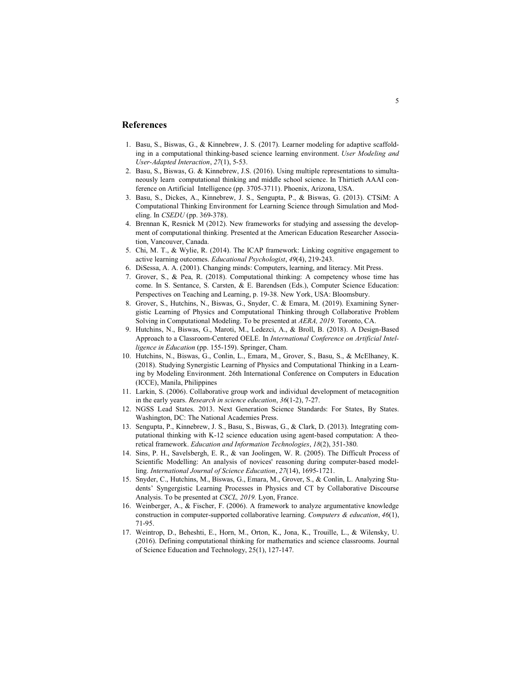#### References

- 1. Basu, S., Biswas, G., & Kinnebrew, J. S. (2017). Learner modeling for adaptive scaffolding in a computational thinking-based science learning environment. User Modeling and User-Adapted Interaction, 27(1), 5-53.
- 2. Basu, S., Biswas, G. & Kinnebrew, J.S. (2016). Using multiple representations to simultaneously learn computational thinking and middle school science. In Thirtieth AAAI conference on Artificial Intelligence (pp. 3705-3711). Phoenix, Arizona, USA.
- 3. Basu, S., Dickes, A., Kinnebrew, J. S., Sengupta, P., & Biswas, G. (2013). CTSiM: A Computational Thinking Environment for Learning Science through Simulation and Modeling. In CSEDU (pp. 369-378).
- 4. Brennan K, Resnick M (2012). New frameworks for studying and assessing the development of computational thinking. Presented at the American Education Researcher Association, Vancouver, Canada.
- 5. Chi, M. T., & Wylie, R. (2014). The ICAP framework: Linking cognitive engagement to active learning outcomes. Educational Psychologist, 49(4), 219-243.
- 6. DiSessa, A. A. (2001). Changing minds: Computers, learning, and literacy. Mit Press.
- 7. Grover, S., & Pea, R. (2018). Computational thinking: A competency whose time has come. In S. Sentance, S. Carsten, & E. Barendsen (Eds.), Computer Science Education: Perspectives on Teaching and Learning, p. 19-38. New York, USA: Bloomsbury.
- 8. Grover, S., Hutchins, N., Biswas, G., Snyder, C. & Emara, M. (2019). Examining Synergistic Learning of Physics and Computational Thinking through Collaborative Problem Solving in Computational Modeling. To be presented at AERA, 2019. Toronto, CA.
- 9. Hutchins, N., Biswas, G., Maroti, M., Ledezci, A., & Broll, B. (2018). A Design-Based Approach to a Classroom-Centered OELE. In International Conference on Artificial Intelligence in Education (pp. 155-159). Springer, Cham.
- 10. Hutchins, N., Biswas, G., Conlin, L., Emara, M., Grover, S., Basu, S., & McElhaney, K. (2018). Studying Synergistic Learning of Physics and Computational Thinking in a Learning by Modeling Environment. 26th International Conference on Computers in Education (ICCE), Manila, Philippines
- 11. Larkin, S. (2006). Collaborative group work and individual development of metacognition in the early years. Research in science education, 36(1-2), 7-27.
- 12. NGSS Lead States. 2013. Next Generation Science Standards: For States, By States. Washington, DC: The National Academies Press.
- 13. Sengupta, P., Kinnebrew, J. S., Basu, S., Biswas, G., & Clark, D. (2013). Integrating computational thinking with K-12 science education using agent-based computation: A theoretical framework. Education and Information Technologies, 18(2), 351-380.
- 14. Sins, P. H., Savelsbergh, E. R., & van Joolingen, W. R. (2005). The Difficult Process of Scientific Modelling: An analysis of novices' reasoning during computer-based modelling. International Journal of Science Education, 27(14), 1695-1721.
- 15. Snyder, C., Hutchins, M., Biswas, G., Emara, M., Grover, S., & Conlin, L. Analyzing Students' Syngergistic Learning Processes in Physics and CT by Collaborative Discourse Analysis. To be presented at CSCL, 2019. Lyon, France.
- 16. Weinberger, A., & Fischer, F. (2006). A framework to analyze argumentative knowledge construction in computer-supported collaborative learning. Computers & education, 46(1), 71-95.
- 17. Weintrop, D., Beheshti, E., Horn, M., Orton, K., Jona, K., Trouille, L., & Wilensky, U. (2016). Defining computational thinking for mathematics and science classrooms. Journal of Science Education and Technology, 25(1), 127-147.